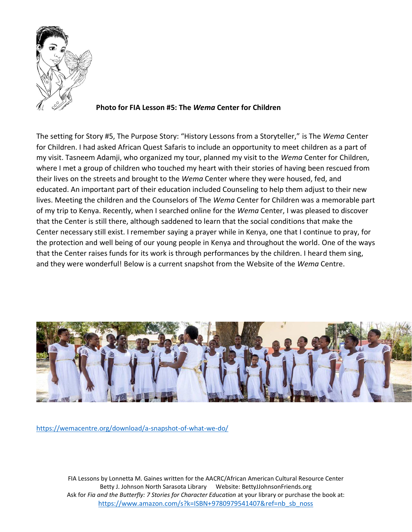

#### **Photo for FIA Lesson #5: The** *Wema* **Center for Children**

The setting for Story #5, The Purpose Story: "History Lessons from a Storyteller," is The *Wema* Center for Children. I had asked African Quest Safaris to include an opportunity to meet children as a part of my visit. Tasneem Adamji, who organized my tour, planned my visit to the *Wema* Center for Children, where I met a group of children who touched my heart with their stories of having been rescued from their lives on the streets and brought to the *Wema* Center where they were housed, fed, and educated. An important part of their education included Counseling to help them adjust to their new lives. Meeting the children and the Counselors of The *Wema* Center for Children was a memorable part of my trip to Kenya. Recently, when I searched online for the *Wema* Center, I was pleased to discover that the Center is still there, although saddened to learn that the social conditions that make the Center necessary still exist. I remember saying a prayer while in Kenya, one that I continue to pray, for the protection and well being of our young people in Kenya and throughout the world. One of the ways that the Center raises funds for its work is through performances by the children. I heard them sing, and they were wonderful! Below is a current snapshot from the Website of the *Wema* Centre.



<https://wemacentre.org/download/a-snapshot-of-what-we-do/>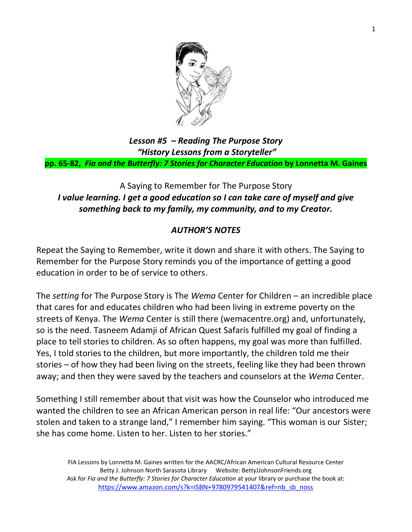

*Lesson #5 – Reading The Purpose Story "History Lessons from a Storyteller"* **pp. 65-82,** *Fia and the Butterfly: 7 Stories for Character Education* **by Lonnetta M. Gaines**

### A Saying to Remember for The Purpose Story *I value learning. I get a good education so I can take care of myself and give something back to my family, my community, and to my Creator.*

### *AUTHOR'S NOTES*

Repeat the Saying to Remember, write it down and share it with others. The Saying to Remember for the Purpose Story reminds you of the importance of getting a good education in order to be of service to others.

The *setting* for The Purpose Story is The *Wema* Center for Children – an incredible place that cares for and educates children who had been living in extreme poverty on the streets of Kenya. The *Wema* Center is still there (wemacentre.org) and, unfortunately, so is the need. Tasneem Adamji of African Quest Safaris fulfilled my goal of finding a place to tell stories to children. As so often happens, my goal was more than fulfilled. Yes, I told stories to the children, but more importantly, the children told me their stories – of how they had been living on the streets, feeling like they had been thrown away; and then they were saved by the teachers and counselors at the *Wema* Center.

Something I still remember about that visit was how the Counselor who introduced me wanted the children to see an African American person in real life: "Our ancestors were stolen and taken to a strange land," I remember him saying. "This woman is our Sister; she has come home. Listen to her. Listen to her stories."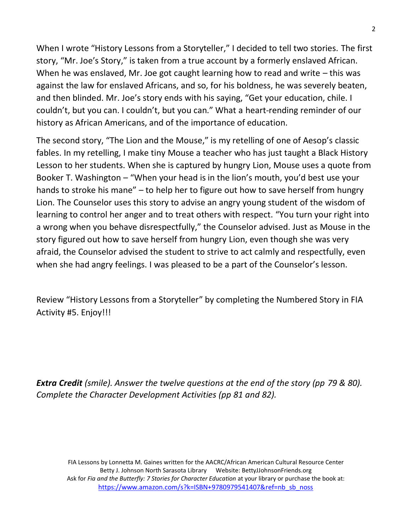When I wrote "History Lessons from a Storyteller," I decided to tell two stories. The first story, "Mr. Joe's Story," is taken from a true account by a formerly enslaved African. When he was enslaved, Mr. Joe got caught learning how to read and write – this was against the law for enslaved Africans, and so, for his boldness, he was severely beaten, and then blinded. Mr. Joe's story ends with his saying, "Get your education, chile. I couldn't, but you can. I couldn't, but you can." What a heart-rending reminder of our history as African Americans, and of the importance of education.

The second story, "The Lion and the Mouse," is my retelling of one of Aesop's classic fables. In my retelling, I make tiny Mouse a teacher who has just taught a Black History Lesson to her students. When she is captured by hungry Lion, Mouse uses a quote from Booker T. Washington – "When your head is in the lion's mouth, you'd best use your hands to stroke his mane" – to help her to figure out how to save herself from hungry Lion. The Counselor uses this story to advise an angry young student of the wisdom of learning to control her anger and to treat others with respect. "You turn your right into a wrong when you behave disrespectfully," the Counselor advised. Just as Mouse in the story figured out how to save herself from hungry Lion, even though she was very afraid, the Counselor advised the student to strive to act calmly and respectfully, even when she had angry feelings. I was pleased to be a part of the Counselor's lesson.

Review "History Lessons from a Storyteller" by completing the Numbered Story in FIA Activity #5. Enjoy!!!

*Extra Credit (smile). Answer the twelve questions at the end of the story (pp 79 & 80). Complete the Character Development Activities (pp 81 and 82).*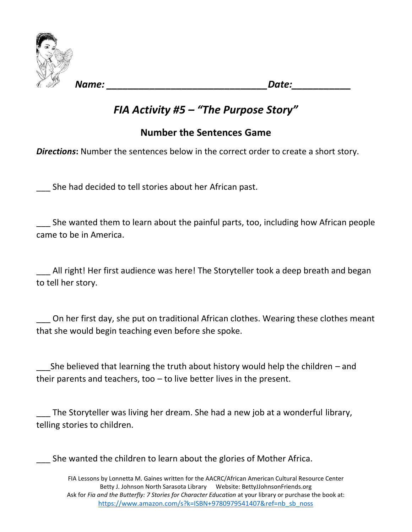

*Name: \_\_\_\_\_\_\_\_\_\_\_\_\_\_\_\_\_\_\_\_\_\_\_\_\_\_\_\_\_\_Date:\_\_\_\_\_\_\_\_\_\_\_*

# *FIA Activity #5 – "The Purpose Story"*

### **Number the Sentences Game**

**Directions:** Number the sentences below in the correct order to create a short story.

\_\_\_ She had decided to tell stories about her African past.

\_\_\_ She wanted them to learn about the painful parts, too, including how African people came to be in America.

\_\_\_ All right! Her first audience was here! The Storyteller took a deep breath and began to tell her story.

On her first day, she put on traditional African clothes. Wearing these clothes meant that she would begin teaching even before she spoke.

She believed that learning the truth about history would help the children – and their parents and teachers, too – to live better lives in the present.

\_\_\_ The Storyteller was living her dream. She had a new job at a wonderful library, telling stories to children.

She wanted the children to learn about the glories of Mother Africa.